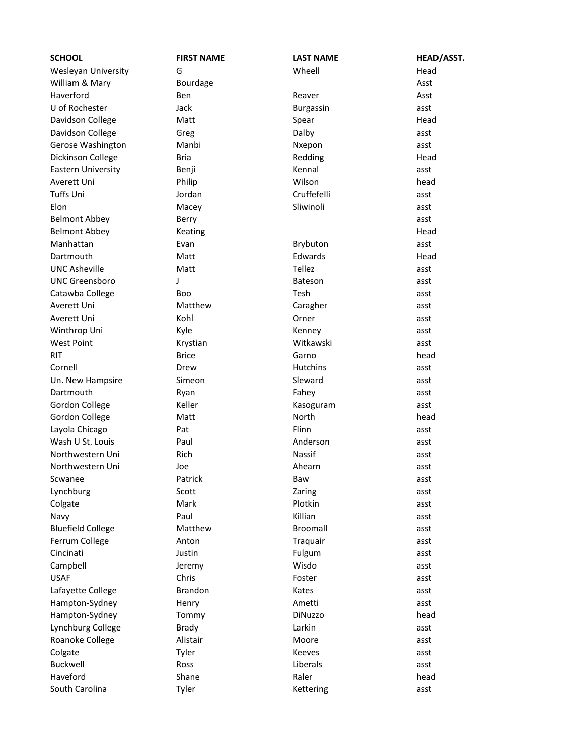| <b>SCHOOL</b>             | <b>FIRST NAME</b> | <b>LAST NAME</b> | <b>HEAD/ASST.</b> |
|---------------------------|-------------------|------------------|-------------------|
| Wesleyan University       | G                 | Wheell           | Head              |
| William & Mary            | Bourdage          |                  | Asst              |
| Haverford                 | <b>Ben</b>        | Reaver           | Asst              |
| U of Rochester            | Jack              | Burgassin        | asst              |
| Davidson College          | Matt              | Spear            | Head              |
| Davidson College          | Greg              | Dalby            | asst              |
| Gerose Washington         | Manbi             | Nxepon           | asst              |
| Dickinson College         | <b>Bria</b>       | Redding          | Head              |
| <b>Eastern University</b> | Benji             | Kennal           | asst              |
| Averett Uni               | Philip            | Wilson           | head              |
| <b>Tuffs Uni</b>          | Jordan            | Cruffefelli      | asst              |
| Elon                      | Macey             | Sliwinoli        | asst              |
| <b>Belmont Abbey</b>      | Berry             |                  | asst              |
| <b>Belmont Abbey</b>      | Keating           |                  | Head              |
| Manhattan                 | Evan              | Brybuton         | asst              |
| Dartmouth                 | Matt              | Edwards          | Head              |
| <b>UNC Asheville</b>      | Matt              | Tellez           | asst              |
| <b>UNC Greensboro</b>     | J                 | <b>Bateson</b>   | asst              |
| Catawba College           | Boo               | Tesh             | asst              |
| Averett Uni               | Matthew           | Caragher         | asst              |
| Averett Uni               | Kohl              | Orner            | asst              |
| Winthrop Uni              | Kyle              | Kenney           | asst              |
| <b>West Point</b>         | Krystian          | Witkawski        | asst              |
| <b>RIT</b>                | <b>Brice</b>      | Garno            | head              |
| Cornell                   | Drew              | Hutchins         | asst              |
| Un. New Hampsire          | Simeon            | Sleward          | asst              |
| Dartmouth                 | Ryan              | Fahey            | asst              |
| Gordon College            | Keller            | Kasoguram        | asst              |
| Gordon College            | Matt              | North            | head              |
| Layola Chicago            | Pat               | Flinn            | asst              |
| Wash U St. Louis          | Paul              | Anderson         | asst              |
| Northwestern Uni          | Rich              | <b>Nassif</b>    | asst              |
| Northwestern Uni          | Joe               | Ahearn           | asst              |
| Scwanee                   | Patrick           | Baw              | asst              |
| Lynchburg                 | Scott             | Zaring           | asst              |
| Colgate                   | Mark              | Plotkin          | asst              |
| Navy                      | Paul              | Killian          | asst              |
| <b>Bluefield College</b>  | Matthew           | Broomall         | asst              |
| Ferrum College            | Anton             | Traquair         | asst              |
| Cincinati                 | Justin            | Fulgum           | asst              |
| Campbell                  | Jeremy            | Wisdo            | asst              |
| <b>USAF</b>               | Chris             | Foster           | asst              |
| Lafayette College         | <b>Brandon</b>    | Kates            | asst              |
| Hampton-Sydney            | Henry             | Ametti           | asst              |
| Hampton-Sydney            | Tommy             | DiNuzzo          | head              |
| Lynchburg College         | <b>Brady</b>      | Larkin           | asst              |
| Roanoke College           | Alistair          | Moore            | asst              |
| Colgate                   | Tyler             | <b>Keeves</b>    | asst              |
| Buckwell                  | Ross              | Liberals         | asst              |
| Haveford                  | Shane             | Raler            | head              |
| South Carolina            | Tyler             | Kettering        | asst              |
|                           |                   |                  |                   |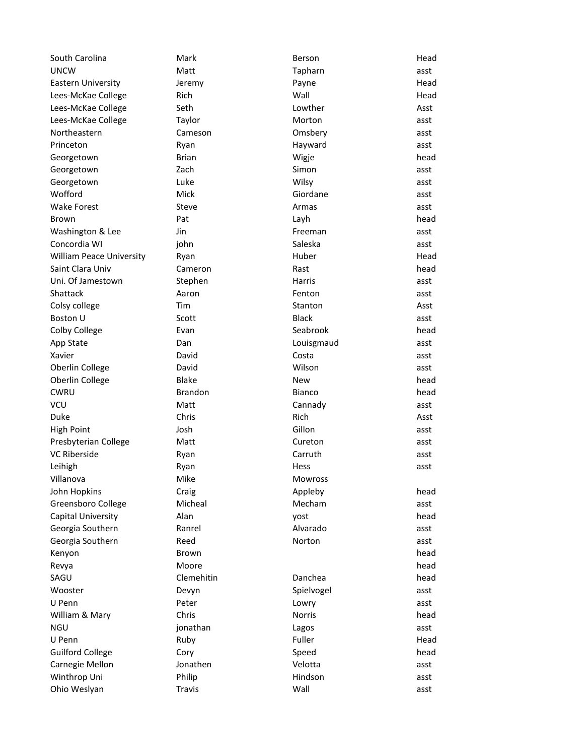| South Carolina                  | Mark           | Berson         | Head |
|---------------------------------|----------------|----------------|------|
| <b>UNCW</b>                     | Matt           | Tapharn        | asst |
| Eastern University              | Jeremy         | Payne          | Head |
| Lees-McKae College              | Rich           | Wall           | Head |
| Lees-McKae College              | Seth           | Lowther        | Asst |
| Lees-McKae College              | Taylor         | Morton         | asst |
| Northeastern                    | Cameson        | Omsbery        | asst |
| Princeton                       | Ryan           | Hayward        | asst |
| Georgetown                      | <b>Brian</b>   | Wigje          | head |
| Georgetown                      | Zach           | Simon          | asst |
| Georgetown                      | Luke           | Wilsy          | asst |
| Wofford                         | Mick           | Giordane       | asst |
| <b>Wake Forest</b>              | Steve          | Armas          | asst |
| Brown                           | Pat            | Layh           | head |
| Washington & Lee                | Jin            | Freeman        | asst |
| Concordia WI                    | john           | Saleska        | asst |
| <b>William Peace University</b> | Ryan           | Huber          | Head |
| Saint Clara Univ                | Cameron        | Rast           | head |
| Uni. Of Jamestown               | Stephen        | Harris         | asst |
| Shattack                        | Aaron          | Fenton         | asst |
| Colsy college                   | Tim            | Stanton        | Asst |
| Boston U                        | Scott          | <b>Black</b>   | asst |
| Colby College                   | Evan           | Seabrook       | head |
| App State                       | Dan            | Louisgmaud     | asst |
| Xavier                          | David          | Costa          | asst |
| Oberlin College                 | David          | Wilson         | asst |
| Oberlin College                 | <b>Blake</b>   | New            | head |
| <b>CWRU</b>                     | <b>Brandon</b> | Bianco         | head |
| <b>VCU</b>                      | Matt           | Cannady        | asst |
| Duke                            | Chris          | <b>Rich</b>    | Asst |
| <b>High Point</b>               | Josh           | Gillon         | asst |
| Presbyterian College            | Matt           | Cureton        | asst |
| <b>VC Riberside</b>             | Ryan           | Carruth        | asst |
| Leihigh                         | Ryan           | Hess           | asst |
| Villanova                       | Mike           | <b>Mowross</b> |      |
| John Hopkins                    | Craig          | Appleby        | head |
| Greensboro College              | Micheal        | Mecham         | asst |
| Capital University              | Alan           | yost           | head |
| Georgia Southern                | Ranrel         | Alvarado       | asst |
| Georgia Southern                | Reed           | Norton         | asst |
| Kenyon                          | Brown          |                | head |
| Revya                           | Moore          |                | head |
| SAGU                            | Clemehitin     | Danchea        | head |
| Wooster                         | Devyn          | Spielvogel     | asst |
| U Penn                          | Peter          | Lowry          | asst |
| William & Mary                  | Chris          | Norris         | head |
| <b>NGU</b>                      | jonathan       | Lagos          | asst |
| U Penn                          | Ruby           | Fuller         | Head |
| <b>Guilford College</b>         | Cory           | Speed          | head |
| Carnegie Mellon                 | Jonathen       | Velotta        | asst |
| Winthrop Uni                    | Philip         | Hindson        | asst |
| Ohio Weslyan                    | Travis         | Wall           | asst |
|                                 |                |                |      |